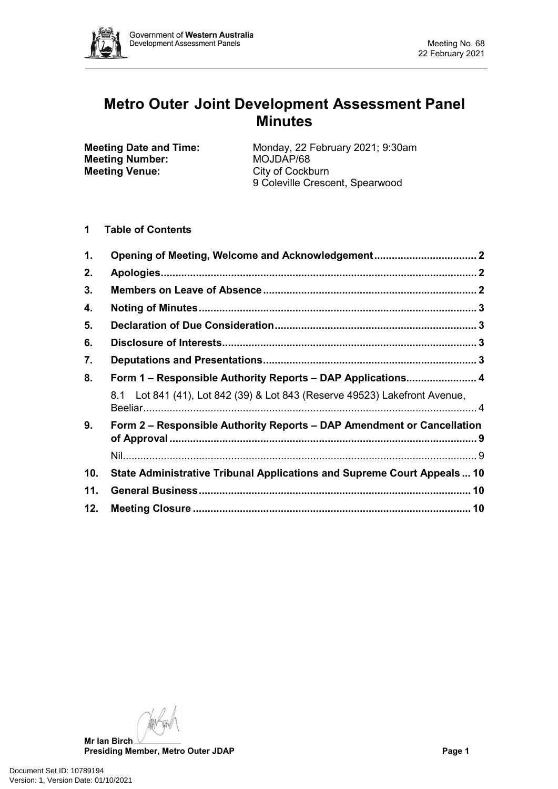

# **Metro Outer Joint Development Assessment Panel Minutes**

**Meeting Number:**<br>Meeting Venue:

**Meeting Date and Time:** Monday, 22 February 2021; 9:30am<br> **Meeting Number:** MOJDAP/68 **City of Cockburn** 9 Coleville Crescent, Spearwood

**1 Table of Contents**

| 1.  |                                                                            |  |  |
|-----|----------------------------------------------------------------------------|--|--|
| 2.  |                                                                            |  |  |
| 3.  |                                                                            |  |  |
| 4.  |                                                                            |  |  |
| 5.  |                                                                            |  |  |
| 6.  |                                                                            |  |  |
| 7.  |                                                                            |  |  |
| 8.  | Form 1 - Responsible Authority Reports - DAP Applications 4                |  |  |
|     | 8.1 Lot 841 (41), Lot 842 (39) & Lot 843 (Reserve 49523) Lakefront Avenue, |  |  |
| 9.  | Form 2 – Responsible Authority Reports – DAP Amendment or Cancellation     |  |  |
|     |                                                                            |  |  |
| 10. | State Administrative Tribunal Applications and Supreme Court Appeals 10    |  |  |
| 11. |                                                                            |  |  |
| 12. |                                                                            |  |  |

**Mr Ian Birch**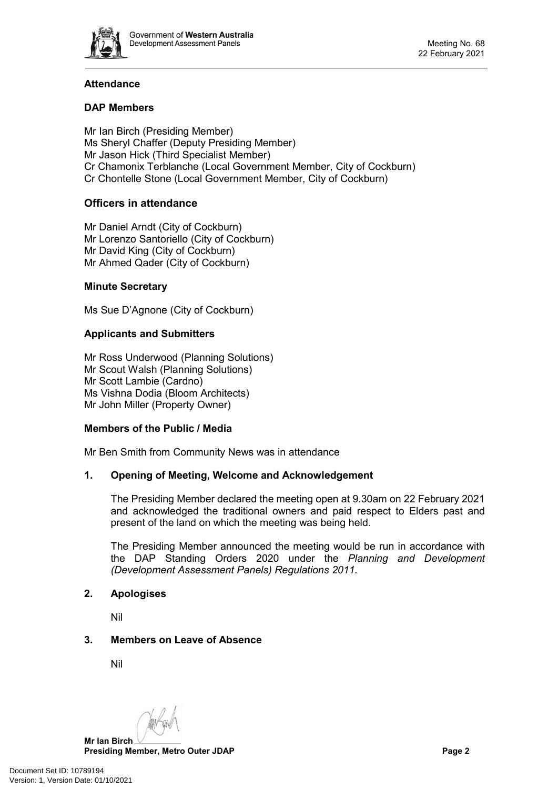

# **Attendance**

# **DAP Members**

Mr Ian Birch (Presiding Member) Ms Sheryl Chaffer (Deputy Presiding Member) Mr Jason Hick (Third Specialist Member) Cr Chamonix Terblanche (Local Government Member, City of Cockburn) Cr Chontelle Stone (Local Government Member, City of Cockburn)

# **Officers in attendance**

Mr Daniel Arndt (City of Cockburn) Mr Lorenzo Santoriello (City of Cockburn) Mr David King (City of Cockburn) Mr Ahmed Qader (City of Cockburn)

# **Minute Secretary**

Ms Sue D'Agnone (City of Cockburn)

# **Applicants and Submitters**

Mr Ross Underwood (Planning Solutions) Mr Scout Walsh (Planning Solutions) Mr Scott Lambie (Cardno) Ms Vishna Dodia (Bloom Architects) Mr John Miller (Property Owner)

#### **Members of the Public / Media**

<span id="page-1-0"></span>Mr Ben Smith from Community News was in attendance

# **1. Opening of Meeting, Welcome and Acknowledgement**

The Presiding Member declared the meeting open at 9.30am on 22 February 2021 and acknowledged the traditional owners and paid respect to Elders past and present of the land on which the meeting was being held.

The Presiding Member announced the meeting would be run in accordance with the DAP Standing Orders 2020 under the *Planning and Development (Development Assessment Panels) Regulations 2011.*

#### <span id="page-1-1"></span>**2. Apologises**

Nil

# <span id="page-1-2"></span>**3. Members on Leave of Absence**

Nil

**Mr Ian Birch**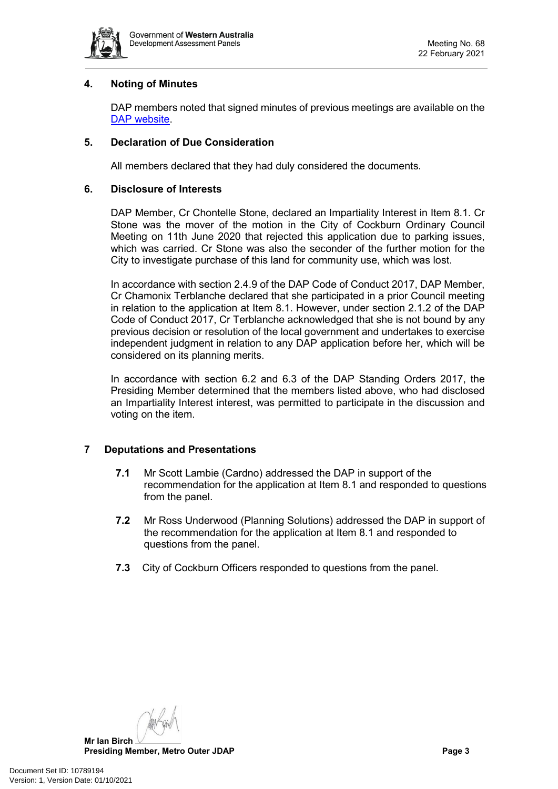

# <span id="page-2-0"></span>**4. Noting of Minutes**

DAP members noted that signed minutes of previous meetings are available on the [DAP website.](https://www.dplh.wa.gov.au/about/development-assessment-panels/daps-agendas-and-minutes)

# <span id="page-2-1"></span>**5. Declaration of Due Consideration**

All members declared that they had duly considered the documents.

#### <span id="page-2-2"></span>**6. Disclosure of Interests**

DAP Member, Cr Chontelle Stone, declared an Impartiality Interest in Item 8.1. Cr Stone was the mover of the motion in the City of Cockburn Ordinary Council Meeting on 11th June 2020 that rejected this application due to parking issues, which was carried. Cr Stone was also the seconder of the further motion for the City to investigate purchase of this land for community use, which was lost.

In accordance with section 2.4.9 of the DAP Code of Conduct 2017, DAP Member, Cr Chamonix Terblanche declared that she participated in a prior Council meeting in relation to the application at Item 8.1. However, under section 2.1.2 of the DAP Code of Conduct 2017, Cr Terblanche acknowledged that she is not bound by any previous decision or resolution of the local government and undertakes to exercise independent judgment in relation to any DAP application before her, which will be considered on its planning merits.

In accordance with section 6.2 and 6.3 of the DAP Standing Orders 2017, the Presiding Member determined that the members listed above, who had disclosed an Impartiality Interest interest, was permitted to participate in the discussion and voting on the item.

# <span id="page-2-3"></span>**7 Deputations and Presentations**

- **7.1** Mr Scott Lambie (Cardno) addressed the DAP in support of the recommendation for the application at Item 8.1 and responded to questions from the panel.
- **7.2** Mr Ross Underwood (Planning Solutions) addressed the DAP in support of the recommendation for the application at Item 8.1 and responded to questions from the panel.
- <span id="page-2-4"></span>**7.3** City of Cockburn Officers responded to questions from the panel.

**Mr Ian Birch Presiding Member, Metro Outer JDAP Page 3**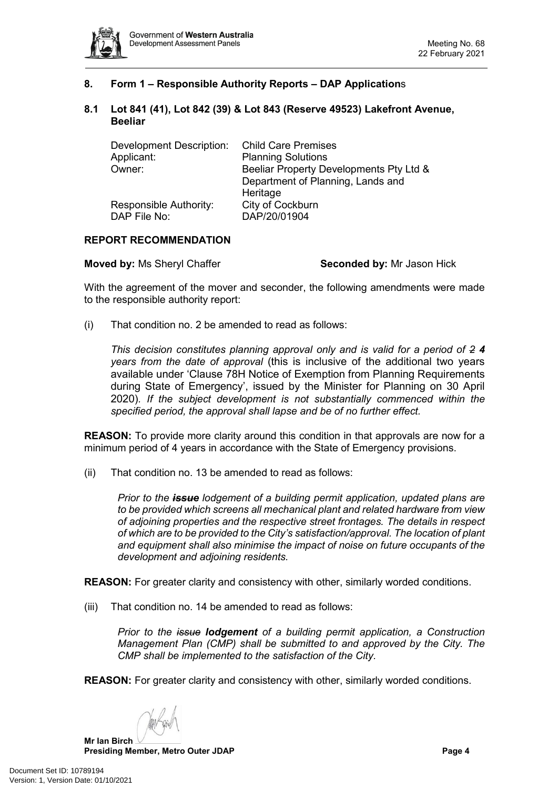

# **8. Form 1 – Responsible Authority Reports – DAP Application**s

#### <span id="page-3-0"></span>**8.1 Lot 841 (41), Lot 842 (39) & Lot 843 (Reserve 49523) Lakefront Avenue, Beeliar**

| <b>Development Description:</b> | <b>Child Care Premises</b>              |  |  |
|---------------------------------|-----------------------------------------|--|--|
| Applicant:                      | <b>Planning Solutions</b>               |  |  |
| Owner:                          | Beeliar Property Developments Pty Ltd & |  |  |
|                                 | Department of Planning, Lands and       |  |  |
|                                 | Heritage                                |  |  |
| Responsible Authority:          | City of Cockburn                        |  |  |
| DAP File No:                    | DAP/20/01904                            |  |  |

# **REPORT RECOMMENDATION**

**Moved by: Ms Sheryl Chaffer <b>Seconded by:** Mr Jason Hick

With the agreement of the mover and seconder, the following amendments were made to the responsible authority report:

(i) That condition no. 2 be amended to read as follows:

*This decision constitutes planning approval only and is valid for a period of 2 4 years from the date of approval* (this is inclusive of the additional two years available under 'Clause 78H Notice of Exemption from Planning Requirements during State of Emergency', issued by the Minister for Planning on 30 April 2020)*. If the subject development is not substantially commenced within the specified period, the approval shall lapse and be of no further effect.* 

**REASON:** To provide more clarity around this condition in that approvals are now for a minimum period of 4 years in accordance with the State of Emergency provisions.

(ii) That condition no. 13 be amended to read as follows:

*Prior to the issue lodgement of a building permit application, updated plans are to be provided which screens all mechanical plant and related hardware from view of adjoining properties and the respective street frontages. The details in respect of which are to be provided to the City's satisfaction/approval. The location of plant and equipment shall also minimise the impact of noise on future occupants of the development and adjoining residents.* 

**REASON:** For greater clarity and consistency with other, similarly worded conditions.

(iii) That condition no. 14 be amended to read as follows:

*Prior to the issue lodgement of a building permit application, a Construction Management Plan (CMP) shall be submitted to and approved by the City. The CMP shall be implemented to the satisfaction of the City.*

**REASON:** For greater clarity and consistency with other, similarly worded conditions.

**Mr Ian Birch**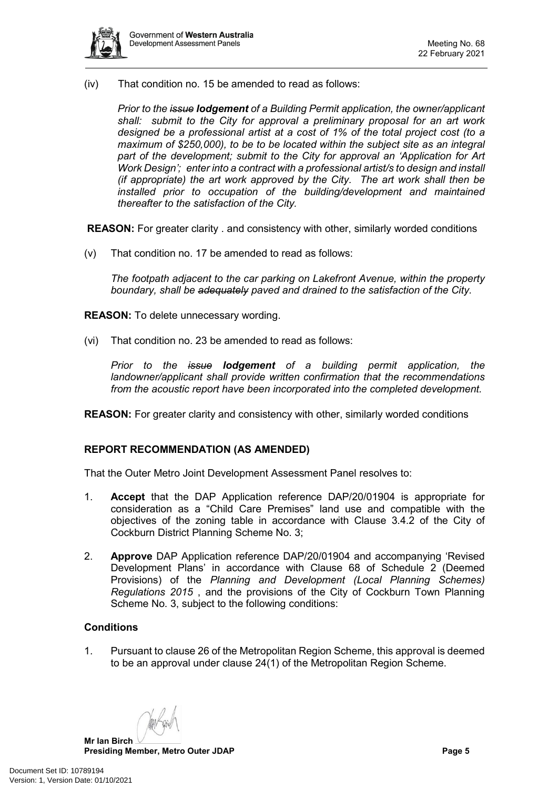

(iv) That condition no. 15 be amended to read as follows:

*Prior to the issue lodgement of a Building Permit application, the owner/applicant shall: submit to the City for approval a preliminary proposal for an art work designed be a professional artist at a cost of 1% of the total project cost (to a maximum of \$250,000), to be to be located within the subject site as an integral part of the development; submit to the City for approval an 'Application for Art Work Design'; enter into a contract with a professional artist/s to design and install (if appropriate) the art work approved by the City. The art work shall then be installed prior to occupation of the building/development and maintained thereafter to the satisfaction of the City.*

**REASON:** For greater clarity . and consistency with other, similarly worded conditions

(v) That condition no. 17 be amended to read as follows:

*The footpath adjacent to the car parking on Lakefront Avenue, within the property boundary, shall be adequately paved and drained to the satisfaction of the City.* 

**REASON:** To delete unnecessary wording.

(vi) That condition no. 23 be amended to read as follows:

*Prior to the issue lodgement of a building permit application, the landowner/applicant shall provide written confirmation that the recommendations from the acoustic report have been incorporated into the completed development.*

**REASON:** For greater clarity and consistency with other, similarly worded conditions

#### **REPORT RECOMMENDATION (AS AMENDED)**

That the Outer Metro Joint Development Assessment Panel resolves to:

- 1. **Accept** that the DAP Application reference DAP/20/01904 is appropriate for consideration as a "Child Care Premises" land use and compatible with the objectives of the zoning table in accordance with Clause 3.4.2 of the City of Cockburn District Planning Scheme No. 3;
- 2. **Approve** DAP Application reference DAP/20/01904 and accompanying 'Revised Development Plans' in accordance with Clause 68 of Schedule 2 (Deemed Provisions) of the *Planning and Development (Local Planning Schemes) Regulations 2015* , and the provisions of the City of Cockburn Town Planning Scheme No. 3, subject to the following conditions:

#### **Conditions**

1. Pursuant to clause 26 of the Metropolitan Region Scheme, this approval is deemed to be an approval under clause 24(1) of the Metropolitan Region Scheme.

**Mr Ian Birch**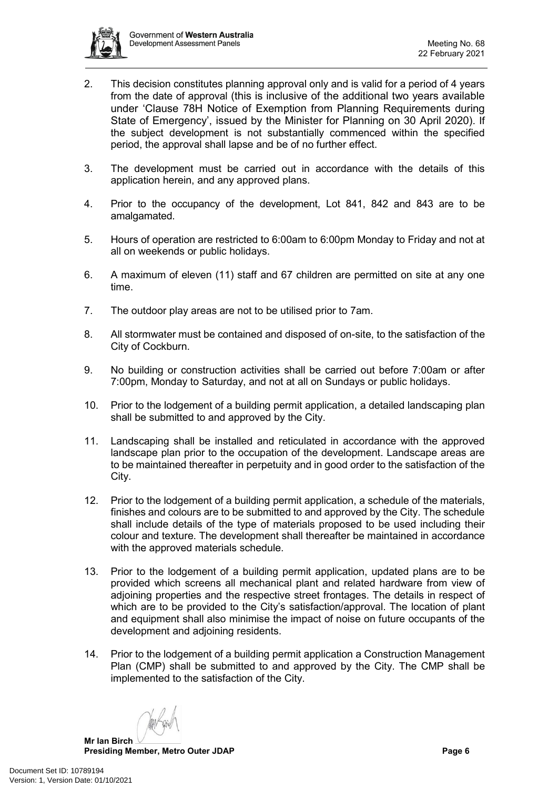

- 2. This decision constitutes planning approval only and is valid for a period of 4 years from the date of approval (this is inclusive of the additional two years available under 'Clause 78H Notice of Exemption from Planning Requirements during State of Emergency', issued by the Minister for Planning on 30 April 2020). If the subject development is not substantially commenced within the specified period, the approval shall lapse and be of no further effect.
- 3. The development must be carried out in accordance with the details of this application herein, and any approved plans.
- 4. Prior to the occupancy of the development, Lot 841, 842 and 843 are to be amalgamated.
- 5. Hours of operation are restricted to 6:00am to 6:00pm Monday to Friday and not at all on weekends or public holidays.
- 6. A maximum of eleven (11) staff and 67 children are permitted on site at any one time.
- 7. The outdoor play areas are not to be utilised prior to 7am.
- 8. All stormwater must be contained and disposed of on-site, to the satisfaction of the City of Cockburn.
- 9. No building or construction activities shall be carried out before 7:00am or after 7:00pm, Monday to Saturday, and not at all on Sundays or public holidays.
- 10. Prior to the lodgement of a building permit application, a detailed landscaping plan shall be submitted to and approved by the City.
- 11. Landscaping shall be installed and reticulated in accordance with the approved landscape plan prior to the occupation of the development. Landscape areas are to be maintained thereafter in perpetuity and in good order to the satisfaction of the City.
- 12. Prior to the lodgement of a building permit application, a schedule of the materials, finishes and colours are to be submitted to and approved by the City. The schedule shall include details of the type of materials proposed to be used including their colour and texture. The development shall thereafter be maintained in accordance with the approved materials schedule.
- 13. Prior to the lodgement of a building permit application, updated plans are to be provided which screens all mechanical plant and related hardware from view of adjoining properties and the respective street frontages. The details in respect of which are to be provided to the City's satisfaction/approval. The location of plant and equipment shall also minimise the impact of noise on future occupants of the development and adjoining residents.
- 14. Prior to the lodgement of a building permit application a Construction Management Plan (CMP) shall be submitted to and approved by the City. The CMP shall be implemented to the satisfaction of the City.

**Mr Ian Birch**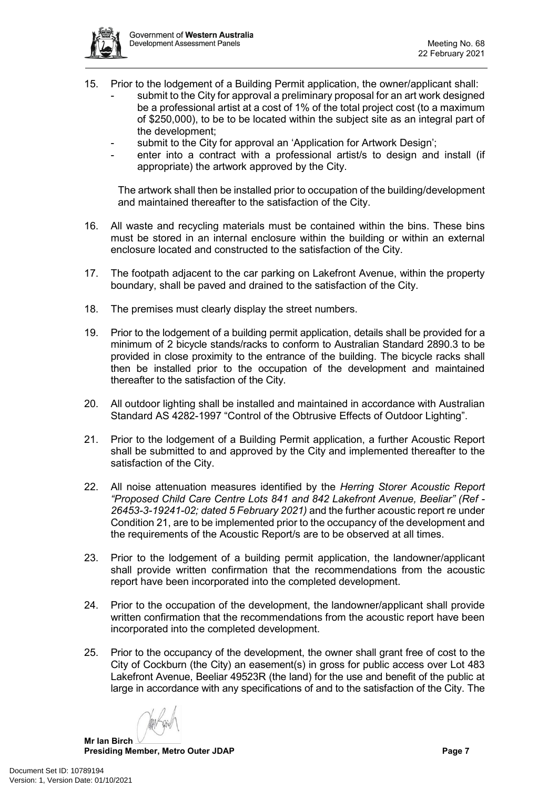

- 15. Prior to the lodgement of a Building Permit application, the owner/applicant shall: submit to the City for approval a preliminary proposal for an art work designed be a professional artist at a cost of 1% of the total project cost (to a maximum of \$250,000), to be to be located within the subject site as an integral part of the development;
	- submit to the City for approval an 'Application for Artwork Design';
	- enter into a contract with a professional artist/s to design and install (if appropriate) the artwork approved by the City.

The artwork shall then be installed prior to occupation of the building/development and maintained thereafter to the satisfaction of the City.

- 16. All waste and recycling materials must be contained within the bins. These bins must be stored in an internal enclosure within the building or within an external enclosure located and constructed to the satisfaction of the City.
- 17. The footpath adjacent to the car parking on Lakefront Avenue, within the property boundary, shall be paved and drained to the satisfaction of the City.
- 18. The premises must clearly display the street numbers.
- 19. Prior to the lodgement of a building permit application, details shall be provided for a minimum of 2 bicycle stands/racks to conform to Australian Standard 2890.3 to be provided in close proximity to the entrance of the building. The bicycle racks shall then be installed prior to the occupation of the development and maintained thereafter to the satisfaction of the City.
- 20. All outdoor lighting shall be installed and maintained in accordance with Australian Standard AS 4282-1997 "Control of the Obtrusive Effects of Outdoor Lighting".
- 21. Prior to the lodgement of a Building Permit application, a further Acoustic Report shall be submitted to and approved by the City and implemented thereafter to the satisfaction of the City.
- 22. All noise attenuation measures identified by the *Herring Storer Acoustic Report "Proposed Child Care Centre Lots 841 and 842 Lakefront Avenue, Beeliar" (Ref - 26453-3-19241-02; dated 5 February 2021)* and the further acoustic report re under Condition 21, are to be implemented prior to the occupancy of the development and the requirements of the Acoustic Report/s are to be observed at all times.
- 23. Prior to the lodgement of a building permit application, the landowner/applicant shall provide written confirmation that the recommendations from the acoustic report have been incorporated into the completed development.
- 24. Prior to the occupation of the development, the landowner/applicant shall provide written confirmation that the recommendations from the acoustic report have been incorporated into the completed development.
- 25. Prior to the occupancy of the development, the owner shall grant free of cost to the City of Cockburn (the City) an easement(s) in gross for public access over Lot 483 Lakefront Avenue, Beeliar 49523R (the land) for the use and benefit of the public at large in accordance with any specifications of and to the satisfaction of the City. The

**Mr Ian Birch**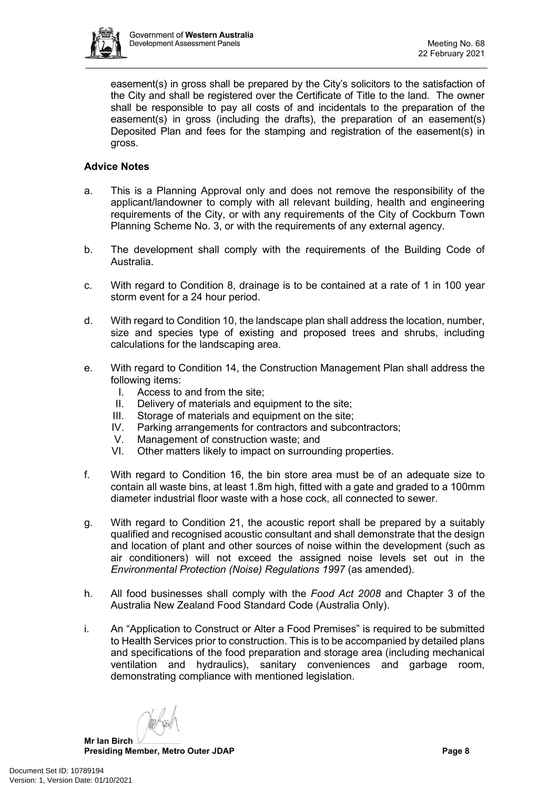

easement(s) in gross shall be prepared by the City's solicitors to the satisfaction of the City and shall be registered over the Certificate of Title to the land. The owner shall be responsible to pay all costs of and incidentals to the preparation of the easement(s) in gross (including the drafts), the preparation of an easement(s) Deposited Plan and fees for the stamping and registration of the easement(s) in gross.

# **Advice Notes**

- a. This is a Planning Approval only and does not remove the responsibility of the applicant/landowner to comply with all relevant building, health and engineering requirements of the City, or with any requirements of the City of Cockburn Town Planning Scheme No. 3, or with the requirements of any external agency.
- b. The development shall comply with the requirements of the Building Code of Australia.
- c. With regard to Condition 8, drainage is to be contained at a rate of 1 in 100 year storm event for a 24 hour period.
- d. With regard to Condition 10, the landscape plan shall address the location, number, size and species type of existing and proposed trees and shrubs, including calculations for the landscaping area.
- e. With regard to Condition 14, the Construction Management Plan shall address the following items:
	- I. Access to and from the site;
	- II. Delivery of materials and equipment to the site;
	- III. Storage of materials and equipment on the site;<br>IV. Parking arrangements for contractors and subco
	- Parking arrangements for contractors and subcontractors;
	- V. Management of construction waste; and<br>VI. Other matters likely to impact on surroun
	- Other matters likely to impact on surrounding properties.
- f. With regard to Condition 16, the bin store area must be of an adequate size to contain all waste bins, at least 1.8m high, fitted with a gate and graded to a 100mm diameter industrial floor waste with a hose cock, all connected to sewer.
- g. With regard to Condition 21, the acoustic report shall be prepared by a suitably qualified and recognised acoustic consultant and shall demonstrate that the design and location of plant and other sources of noise within the development (such as air conditioners) will not exceed the assigned noise levels set out in the *Environmental Protection (Noise) Regulations 1997* (as amended).
- h. All food businesses shall comply with the *Food Act 2008* and Chapter 3 of the Australia New Zealand Food Standard Code (Australia Only).
- i. An "Application to Construct or Alter a Food Premises" is required to be submitted to Health Services prior to construction. This is to be accompanied by detailed plans and specifications of the food preparation and storage area (including mechanical ventilation and hydraulics), sanitary conveniences and garbage room, demonstrating compliance with mentioned legislation.

**Mr Ian Birch**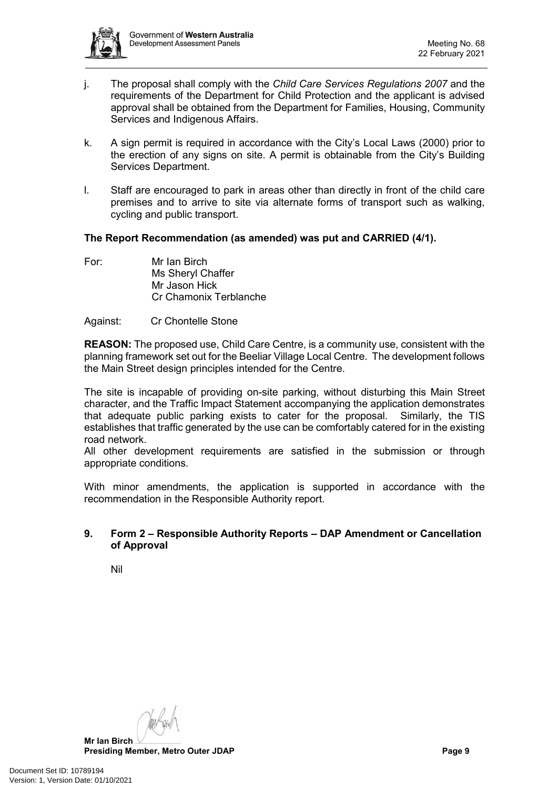

- j. The proposal shall comply with the *Child Care Services Regulations 2007* and the requirements of the Department for Child Protection and the applicant is advised approval shall be obtained from the Department for Families, Housing, Community Services and Indigenous Affairs.
- k. A sign permit is required in accordance with the City's Local Laws (2000) prior to the erection of any signs on site. A permit is obtainable from the City's Building Services Department.
- l. Staff are encouraged to park in areas other than directly in front of the child care premises and to arrive to site via alternate forms of transport such as walking, cycling and public transport.

# **The Report Recommendation (as amended) was put and CARRIED (4/1).**

For: Mr Ian Birch Ms Sheryl Chaffer Mr Jason Hick Cr Chamonix Terblanche

# Against: Cr Chontelle Stone

**REASON:** The proposed use, Child Care Centre, is a community use, consistent with the planning framework set out for the Beeliar Village Local Centre. The development follows the Main Street design principles intended for the Centre.

The site is incapable of providing on-site parking, without disturbing this Main Street character, and the Traffic Impact Statement accompanying the application demonstrates that adequate public parking exists to cater for the proposal. Similarly, the TIS establishes that traffic generated by the use can be comfortably catered for in the existing road network.

All other development requirements are satisfied in the submission or through appropriate conditions.

With minor amendments, the application is supported in accordance with the recommendation in the Responsible Authority report.

# <span id="page-8-0"></span>**9. Form 2 – Responsible Authority Reports – DAP Amendment or Cancellation of Approval**

<span id="page-8-1"></span>Nil

**Mr Ian Birch Presiding Member, Metro Outer JDAP Page 9**

Document Set ID: 10789194<br>Version: 1, Version Date: 01/10/2021